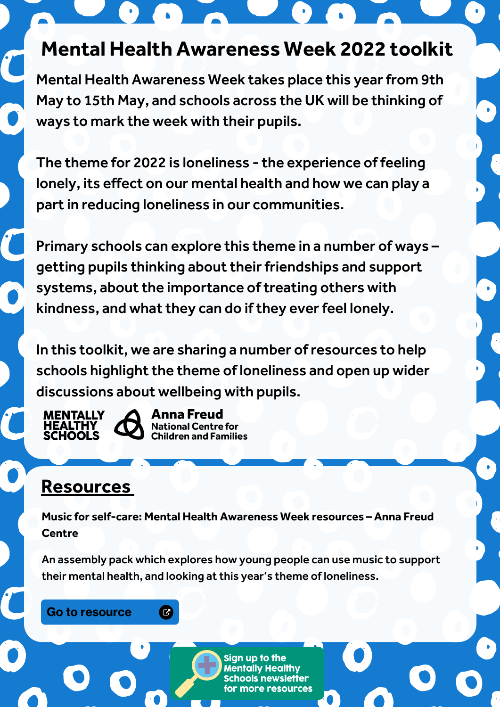# **Mental Health Awareness Week 2022 toolkit**

Mental Health Awareness Week takes place this year from 9th May to 15th May, and schools across the UK will be thinking of ways to mark the week with their pupils.

The theme for 2022 is loneliness - the experience of feeling lonely, its effect on our mental health and how we can play a part in reducing loneliness in our communities.

Primary schools can explore this theme in a number of ways – getting pupils thinking about their friendships and support systems, about the importance of treating others with kindness, and what they can do if they everfeel lonely.

In this toolkit, we are sharing a number ofresources to help schools highlight the theme of loneliness and open up wider discussions about wellbeing with pupils.

**MENTALLY HEALTHY HOOLS** 



Anna Freud **National Centre for Children and Families** 

## **Resources**

**Music for self-care: Mental Health Awareness Week resources – Anna Freud Centre**

An assembly pack which explores how young people can use music to support their mental health, and looking at this year's theme of loneliness.

Go to [resource](https://mentallyhealthyschools.org.uk/resources/music-for-self-care-resources/)

 $\bullet$ 

Sign up to the **Mentally Healthy Schools newsletter** more resources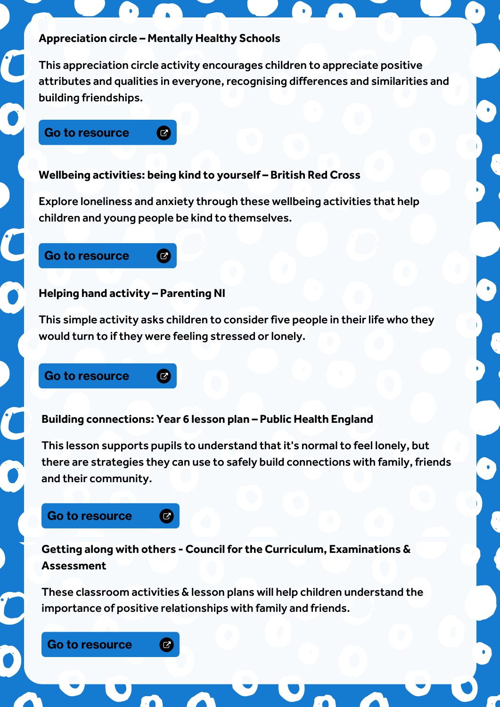#### **Appreciation circle – Mentally Healthy Schools**

 $\epsilon$ 

Ø

 $\overline{C}$ 

 $\boldsymbol{\sigma}$ 

 $\bullet$ 

This appreciation circle activity encourages children to appreciate positive attributes and qualities in everyone, recognising differences and similarities and building friendships.

#### Go to [resource](https://mentallyhealthyschools.org.uk/resources/appreciation-circles-celebrating-ourselves-and-others/)

#### **Wellbeing activities: being kind to yourself – British Red Cross**

Explore loneliness and anxiety through these wellbeing activities that help children and young people be kind to themselves.

## Go to [resource](https://mentallyhealthyschools.org.uk/resources/wellbeing-activities-being-kind-to-yourself/)

#### **Helping hand activity – Parenting NI**

This simple activity asks children to consider five people in their life who they would turn to if they were feeling stressed or lonely.

### Go to [resource](https://mentallyhealthyschools.org.uk/resources/helping-hand-activity/)

#### **Building connections: Year 6 lesson plan – Public Health England**

This lesson supports pupils to understand that it's normal to feel lonely, but there are strategies they can use to safely build connections with family, friends and their community.

## Go to [resource](https://mentallyhealthyschools.org.uk/resources/building-connections-year-6-lesson-plan/)

**Getting along with others - Council for the Curriculum, Examinations & Assessment**

These classroom activities & lesson plans will help children understand the importance of positive relationships with family and friends.

Go to [resource](https://mentallyhealthyschools.org.uk/resources/getting-along-with-others/)